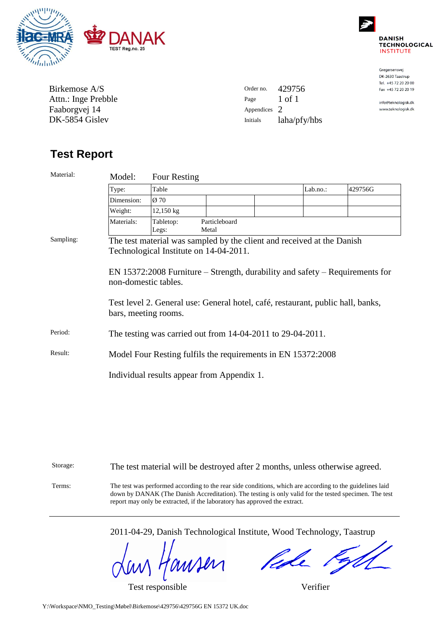



Gregersensvej DK-2630 Taastrup Tel. +45 72 20 20 00 Fax +45 72 20 20 19

info@teknologisk.dk www.teknologisk.dk

| Birkemose A/S       |
|---------------------|
| Attn.: Inge Prebble |
| Faaborgvej 14       |
| DK-5854 Gislev      |

| Order no.    | 429756       |
|--------------|--------------|
| Page         | 1 of 1       |
| Appendices 2 |              |
| Initials     | laha/pfy/hbs |

# **Test Report**

| Material: | Model:                                                                                                                                                                                                                                                                                                      | Four Resting                               |  |                        |  |          |         |  |
|-----------|-------------------------------------------------------------------------------------------------------------------------------------------------------------------------------------------------------------------------------------------------------------------------------------------------------------|--------------------------------------------|--|------------------------|--|----------|---------|--|
|           | Type:                                                                                                                                                                                                                                                                                                       | Table                                      |  |                        |  | Lab.no.: | 429756G |  |
|           | Dimension:                                                                                                                                                                                                                                                                                                  | $Ø$ 70                                     |  |                        |  |          |         |  |
|           | Weight:                                                                                                                                                                                                                                                                                                     | 12,150 kg                                  |  |                        |  |          |         |  |
|           | Materials:                                                                                                                                                                                                                                                                                                  | Tabletop:<br>Legs:                         |  | Particleboard<br>Metal |  |          |         |  |
| Sampling: | The test material was sampled by the client and received at the Danish<br>Technological Institute on 14-04-2011.<br>EN 15372:2008 Furniture – Strength, durability and safety – Requirements for<br>non-domestic tables.<br>Test level 2. General use: General hotel, café, restaurant, public hall, banks, |                                            |  |                        |  |          |         |  |
|           | bars, meeting rooms.                                                                                                                                                                                                                                                                                        |                                            |  |                        |  |          |         |  |
| Period:   | The testing was carried out from $14-04-2011$ to $29-04-2011$ .                                                                                                                                                                                                                                             |                                            |  |                        |  |          |         |  |
| Result:   | Model Four Resting fulfils the requirements in EN 15372:2008                                                                                                                                                                                                                                                |                                            |  |                        |  |          |         |  |
|           |                                                                                                                                                                                                                                                                                                             | Individual results appear from Appendix 1. |  |                        |  |          |         |  |

| Storage: | The test material will be destroyed after 2 months, unless otherwise agreed.                                                                                                                                                                                                                   |
|----------|------------------------------------------------------------------------------------------------------------------------------------------------------------------------------------------------------------------------------------------------------------------------------------------------|
| Terms:   | The test was performed according to the rear side conditions, which are according to the guidelines laid<br>down by DANAK (The Danish Accreditation). The testing is only valid for the tested specimen. The test<br>report may only be extracted, if the laboratory has approved the extract. |

2011-04-29, Danish Technological Institute, Wood Technology, Taastrup

misen

Test responsible Verifier

fede **SASS**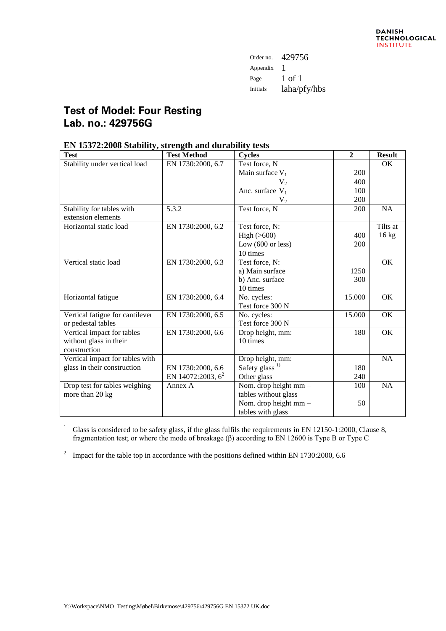| Order no. | 429756       |
|-----------|--------------|
| Appendix  |              |
| Page      | 1 of 1       |
| Initials  | laha/pfy/hbs |

## **Test of Model: Four Resting Lab. no.: 429756G**

### **EN 15372:2008 Stability, strength and durability tests**

| <b>Test</b>                     | <b>Test Method</b>   | <b>Cycles</b>               | $\overline{2}$ | <b>Result</b>   |
|---------------------------------|----------------------|-----------------------------|----------------|-----------------|
| Stability under vertical load   | EN 1730:2000, 6.7    | Test force, N               |                | <b>OK</b>       |
|                                 |                      | Main surface $V_1$          | 200            |                 |
|                                 |                      | $V_{2}$                     | 400            |                 |
|                                 |                      | Anc. surface $V_1$          | 100            |                 |
|                                 |                      | V <sub>2</sub>              | 200            |                 |
| Stability for tables with       | 5.3.2                | Test force, N               | 200            | <b>NA</b>       |
| extension elements              |                      |                             |                |                 |
| Horizontal static load          | EN 1730:2000, 6.2    | Test force, N:              |                | Tilts at        |
|                                 |                      | High $(>600)$               | 400            | $16 \text{ kg}$ |
|                                 |                      | Low $(600 \text{ or less})$ | 200            |                 |
|                                 |                      | 10 times                    |                |                 |
| Vertical static load            | EN 1730:2000, 6.3    | Test force, N:              |                | OK              |
|                                 |                      | a) Main surface             | 1250           |                 |
|                                 |                      | b) Anc. surface             | 300            |                 |
|                                 |                      | 10 times                    |                |                 |
| Horizontal fatigue              | EN 1730:2000, 6.4    | No. cycles:                 | 15.000         | OK              |
|                                 |                      | Test force 300 N            |                |                 |
| Vertical fatigue for cantilever | EN 1730:2000, 6.5    | No. cycles:                 | 15.000         | OK              |
| or pedestal tables              |                      | Test force 300 N            |                |                 |
| Vertical impact for tables      | EN 1730:2000, 6.6    | Drop height, mm:            | 180            | OK              |
| without glass in their          |                      | 10 times                    |                |                 |
| construction                    |                      |                             |                |                 |
| Vertical impact for tables with |                      | Drop height, mm:            |                | <b>NA</b>       |
| glass in their construction     | EN 1730:2000, 6.6    | Safety glass <sup>1)</sup>  | 180            |                 |
|                                 | EN 14072:2003, $6^2$ | Other glass                 | 240            |                 |
| Drop test for tables weighing   | Annex A              | Nom. drop height mm -       | 100            | <b>NA</b>       |
| more than 20 kg                 |                      | tables without glass        |                |                 |
|                                 |                      | Nom. drop height mm -       | 50             |                 |
|                                 |                      | tables with glass           |                |                 |

<sup>1</sup> Glass is considered to be safety glass, if the glass fulfils the requirements in EN 12150-1:2000, Clause 8, fragmentation test; or where the mode of breakage (β) according to EN 12600 is Type B or Type C

<sup>2</sup> Impact for the table top in accordance with the positions defined within EN 1730:2000, 6.6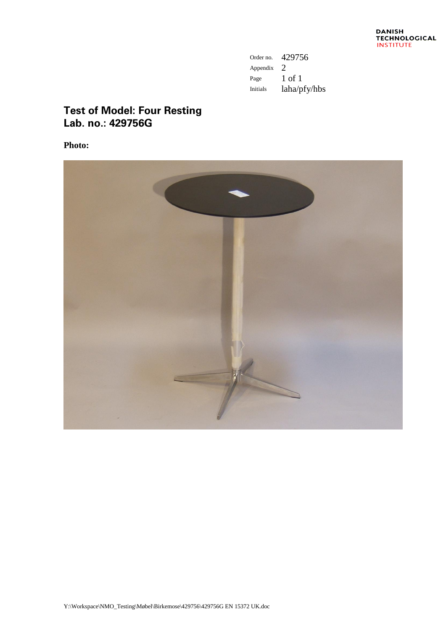| Order no. | 429756       |
|-----------|--------------|
| Appendix  | 2            |
| Page      | 1 of 1       |
| Initials  | laha/pfy/hbs |

### **Test of Model: Four Resting Lab. no.: 429756G**

**Photo:**